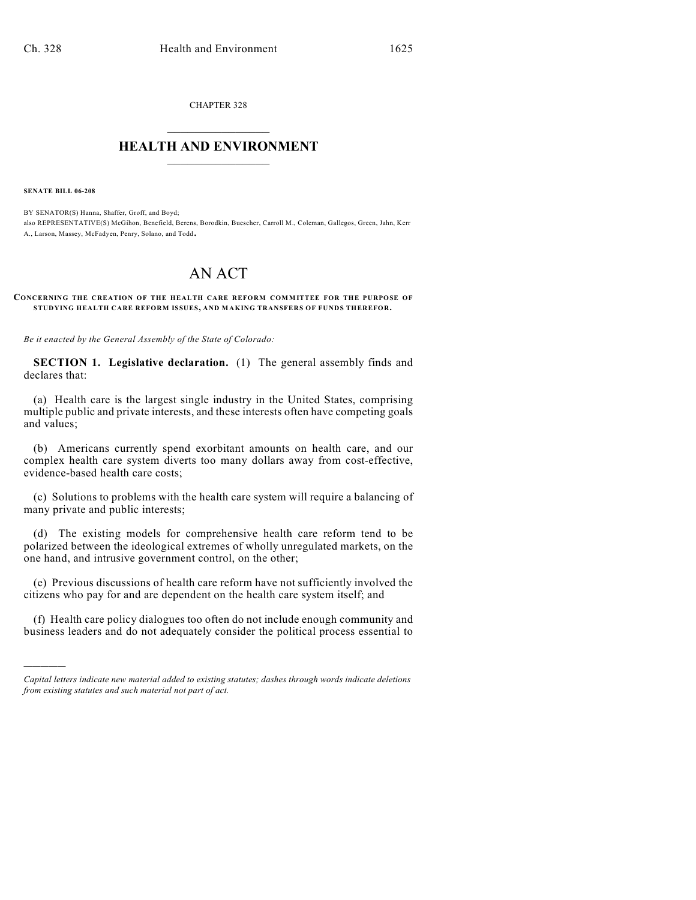CHAPTER 328  $\overline{\phantom{a}}$  . The set of the set of the set of the set of the set of the set of the set of the set of the set of the set of the set of the set of the set of the set of the set of the set of the set of the set of the set o

### **HEALTH AND ENVIRONMENT**  $\_$

**SENATE BILL 06-208**

)))))

BY SENATOR(S) Hanna, Shaffer, Groff, and Boyd; also REPRESENTATIVE(S) McGihon, Benefield, Berens, Borodkin, Buescher, Carroll M., Coleman, Gallegos, Green, Jahn, Kerr A., Larson, Massey, McFadyen, Penry, Solano, and Todd.

# AN ACT

#### **CONCERNING THE CREATION OF THE HEALTH CARE REFORM COMMITTEE FOR THE PURPOSE OF STUDYING HEALTH CARE REFORM ISSUES, AND MAKING TRANSFERS OF FUNDS THEREFOR.**

*Be it enacted by the General Assembly of the State of Colorado:*

**SECTION 1. Legislative declaration.** (1) The general assembly finds and declares that:

(a) Health care is the largest single industry in the United States, comprising multiple public and private interests, and these interests often have competing goals and values;

(b) Americans currently spend exorbitant amounts on health care, and our complex health care system diverts too many dollars away from cost-effective, evidence-based health care costs;

(c) Solutions to problems with the health care system will require a balancing of many private and public interests;

(d) The existing models for comprehensive health care reform tend to be polarized between the ideological extremes of wholly unregulated markets, on the one hand, and intrusive government control, on the other;

(e) Previous discussions of health care reform have not sufficiently involved the citizens who pay for and are dependent on the health care system itself; and

(f) Health care policy dialogues too often do not include enough community and business leaders and do not adequately consider the political process essential to

*Capital letters indicate new material added to existing statutes; dashes through words indicate deletions from existing statutes and such material not part of act.*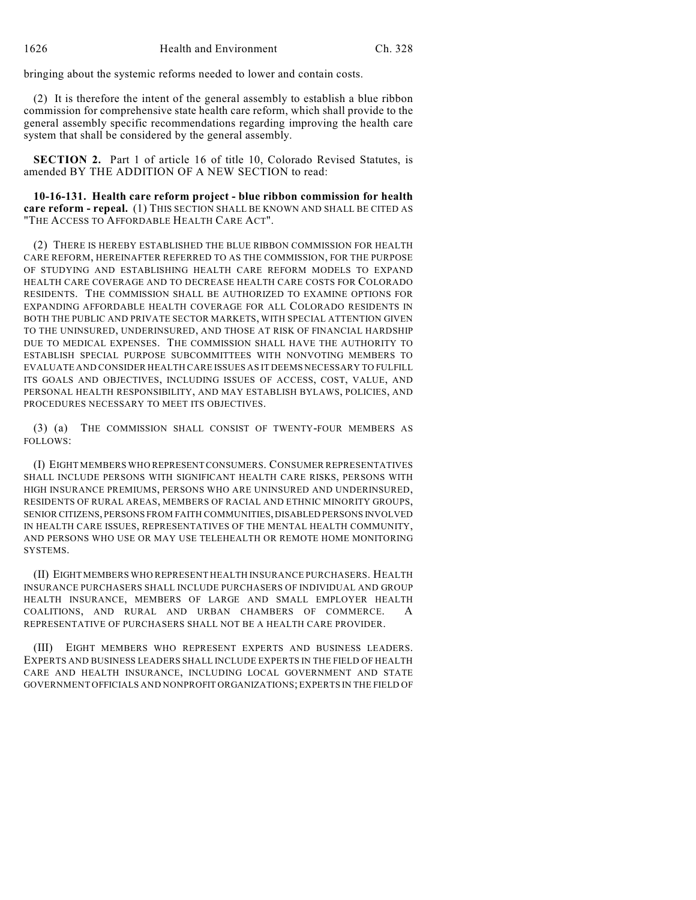bringing about the systemic reforms needed to lower and contain costs.

(2) It is therefore the intent of the general assembly to establish a blue ribbon commission for comprehensive state health care reform, which shall provide to the general assembly specific recommendations regarding improving the health care system that shall be considered by the general assembly.

**SECTION 2.** Part 1 of article 16 of title 10, Colorado Revised Statutes, is amended BY THE ADDITION OF A NEW SECTION to read:

**10-16-131. Health care reform project - blue ribbon commission for health care reform - repeal.** (1) THIS SECTION SHALL BE KNOWN AND SHALL BE CITED AS "THE ACCESS TO AFFORDABLE HEALTH CARE ACT".

(2) THERE IS HEREBY ESTABLISHED THE BLUE RIBBON COMMISSION FOR HEALTH CARE REFORM, HEREINAFTER REFERRED TO AS THE COMMISSION, FOR THE PURPOSE OF STUDYING AND ESTABLISHING HEALTH CARE REFORM MODELS TO EXPAND HEALTH CARE COVERAGE AND TO DECREASE HEALTH CARE COSTS FOR COLORADO RESIDENTS. THE COMMISSION SHALL BE AUTHORIZED TO EXAMINE OPTIONS FOR EXPANDING AFFORDABLE HEALTH COVERAGE FOR ALL COLORADO RESIDENTS IN BOTH THE PUBLIC AND PRIVATE SECTOR MARKETS, WITH SPECIAL ATTENTION GIVEN TO THE UNINSURED, UNDERINSURED, AND THOSE AT RISK OF FINANCIAL HARDSHIP DUE TO MEDICAL EXPENSES. THE COMMISSION SHALL HAVE THE AUTHORITY TO ESTABLISH SPECIAL PURPOSE SUBCOMMITTEES WITH NONVOTING MEMBERS TO EVALUATE AND CONSIDER HEALTH CARE ISSUES AS IT DEEMS NECESSARY TO FULFILL ITS GOALS AND OBJECTIVES, INCLUDING ISSUES OF ACCESS, COST, VALUE, AND PERSONAL HEALTH RESPONSIBILITY, AND MAY ESTABLISH BYLAWS, POLICIES, AND PROCEDURES NECESSARY TO MEET ITS OBJECTIVES.

(3) (a) THE COMMISSION SHALL CONSIST OF TWENTY-FOUR MEMBERS AS FOLLOWS:

(I) EIGHT MEMBERS WHO REPRESENT CONSUMERS. CONSUMER REPRESENTATIVES SHALL INCLUDE PERSONS WITH SIGNIFICANT HEALTH CARE RISKS, PERSONS WITH HIGH INSURANCE PREMIUMS, PERSONS WHO ARE UNINSURED AND UNDERINSURED, RESIDENTS OF RURAL AREAS, MEMBERS OF RACIAL AND ETHNIC MINORITY GROUPS, SENIOR CITIZENS, PERSONS FROM FAITH COMMUNITIES, DISABLED PERSONS INVOLVED IN HEALTH CARE ISSUES, REPRESENTATIVES OF THE MENTAL HEALTH COMMUNITY, AND PERSONS WHO USE OR MAY USE TELEHEALTH OR REMOTE HOME MONITORING SYSTEMS.

(II) EIGHT MEMBERS WHO REPRESENT HEALTH INSURANCE PURCHASERS. HEALTH INSURANCE PURCHASERS SHALL INCLUDE PURCHASERS OF INDIVIDUAL AND GROUP HEALTH INSURANCE, MEMBERS OF LARGE AND SMALL EMPLOYER HEALTH COALITIONS, AND RURAL AND URBAN CHAMBERS OF COMMERCE. A REPRESENTATIVE OF PURCHASERS SHALL NOT BE A HEALTH CARE PROVIDER.

(III) EIGHT MEMBERS WHO REPRESENT EXPERTS AND BUSINESS LEADERS. EXPERTS AND BUSINESS LEADERS SHALL INCLUDE EXPERTS IN THE FIELD OF HEALTH CARE AND HEALTH INSURANCE, INCLUDING LOCAL GOVERNMENT AND STATE GOVERNMENT OFFICIALS AND NONPROFIT ORGANIZATIONS; EXPERTS IN THE FIELD OF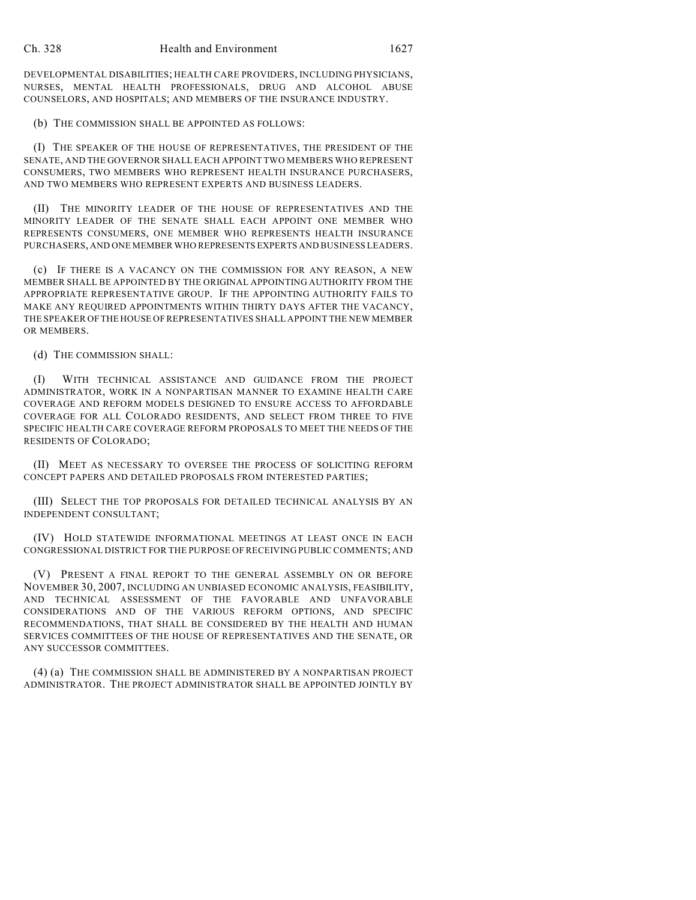DEVELOPMENTAL DISABILITIES; HEALTH CARE PROVIDERS, INCLUDING PHYSICIANS, NURSES, MENTAL HEALTH PROFESSIONALS, DRUG AND ALCOHOL ABUSE COUNSELORS, AND HOSPITALS; AND MEMBERS OF THE INSURANCE INDUSTRY.

(b) THE COMMISSION SHALL BE APPOINTED AS FOLLOWS:

(I) THE SPEAKER OF THE HOUSE OF REPRESENTATIVES, THE PRESIDENT OF THE SENATE, AND THE GOVERNOR SHALL EACH APPOINT TWO MEMBERS WHO REPRESENT CONSUMERS, TWO MEMBERS WHO REPRESENT HEALTH INSURANCE PURCHASERS, AND TWO MEMBERS WHO REPRESENT EXPERTS AND BUSINESS LEADERS.

(II) THE MINORITY LEADER OF THE HOUSE OF REPRESENTATIVES AND THE MINORITY LEADER OF THE SENATE SHALL EACH APPOINT ONE MEMBER WHO REPRESENTS CONSUMERS, ONE MEMBER WHO REPRESENTS HEALTH INSURANCE PURCHASERS, AND ONE MEMBER WHO REPRESENTS EXPERTS AND BUSINESS LEADERS.

(c) IF THERE IS A VACANCY ON THE COMMISSION FOR ANY REASON, A NEW MEMBER SHALL BE APPOINTED BY THE ORIGINAL APPOINTING AUTHORITY FROM THE APPROPRIATE REPRESENTATIVE GROUP. IF THE APPOINTING AUTHORITY FAILS TO MAKE ANY REQUIRED APPOINTMENTS WITHIN THIRTY DAYS AFTER THE VACANCY, THE SPEAKER OF THE HOUSE OF REPRESENTATIVES SHALL APPOINT THE NEW MEMBER OR MEMBERS.

(d) THE COMMISSION SHALL:

(I) WITH TECHNICAL ASSISTANCE AND GUIDANCE FROM THE PROJECT ADMINISTRATOR, WORK IN A NONPARTISAN MANNER TO EXAMINE HEALTH CARE COVERAGE AND REFORM MODELS DESIGNED TO ENSURE ACCESS TO AFFORDABLE COVERAGE FOR ALL COLORADO RESIDENTS, AND SELECT FROM THREE TO FIVE SPECIFIC HEALTH CARE COVERAGE REFORM PROPOSALS TO MEET THE NEEDS OF THE RESIDENTS OF COLORADO;

(II) MEET AS NECESSARY TO OVERSEE THE PROCESS OF SOLICITING REFORM CONCEPT PAPERS AND DETAILED PROPOSALS FROM INTERESTED PARTIES;

(III) SELECT THE TOP PROPOSALS FOR DETAILED TECHNICAL ANALYSIS BY AN INDEPENDENT CONSULTANT;

(IV) HOLD STATEWIDE INFORMATIONAL MEETINGS AT LEAST ONCE IN EACH CONGRESSIONAL DISTRICT FOR THE PURPOSE OF RECEIVING PUBLIC COMMENTS; AND

(V) PRESENT A FINAL REPORT TO THE GENERAL ASSEMBLY ON OR BEFORE NOVEMBER 30, 2007, INCLUDING AN UNBIASED ECONOMIC ANALYSIS, FEASIBILITY, AND TECHNICAL ASSESSMENT OF THE FAVORABLE AND UNFAVORABLE CONSIDERATIONS AND OF THE VARIOUS REFORM OPTIONS, AND SPECIFIC RECOMMENDATIONS, THAT SHALL BE CONSIDERED BY THE HEALTH AND HUMAN SERVICES COMMITTEES OF THE HOUSE OF REPRESENTATIVES AND THE SENATE, OR ANY SUCCESSOR COMMITTEES.

(4) (a) THE COMMISSION SHALL BE ADMINISTERED BY A NONPARTISAN PROJECT ADMINISTRATOR. THE PROJECT ADMINISTRATOR SHALL BE APPOINTED JOINTLY BY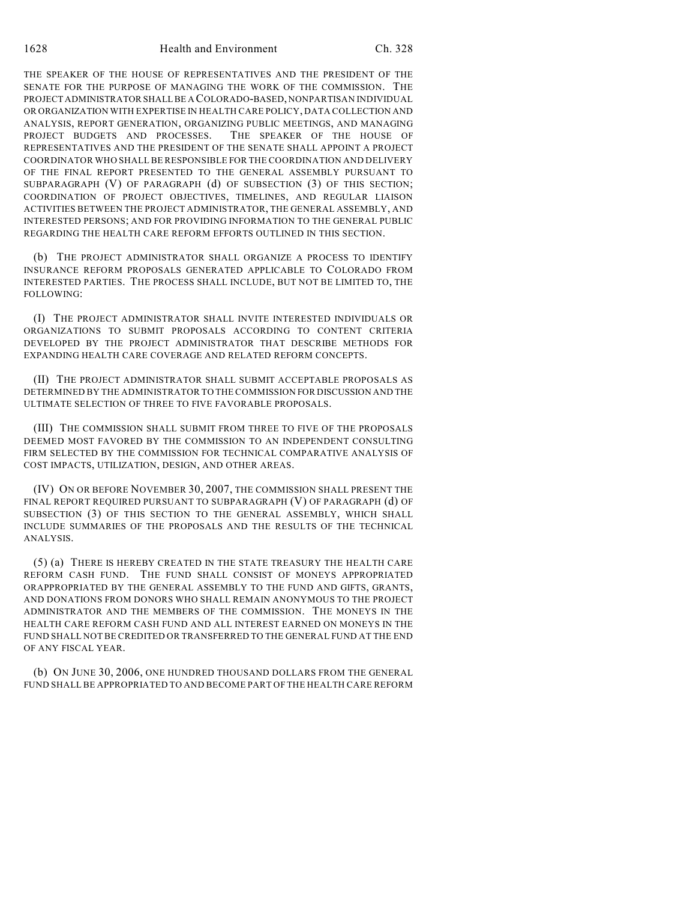1628 Health and Environment Ch. 328

THE SPEAKER OF THE HOUSE OF REPRESENTATIVES AND THE PRESIDENT OF THE SENATE FOR THE PURPOSE OF MANAGING THE WORK OF THE COMMISSION. THE PROJECT ADMINISTRATOR SHALL BE A COLORADO-BASED, NONPARTISAN INDIVIDUAL OR ORGANIZATION WITH EXPERTISE IN HEALTH CARE POLICY, DATA COLLECTION AND ANALYSIS, REPORT GENERATION, ORGANIZING PUBLIC MEETINGS, AND MANAGING PROJECT BUDGETS AND PROCESSES. THE SPEAKER OF THE HOUSE OF REPRESENTATIVES AND THE PRESIDENT OF THE SENATE SHALL APPOINT A PROJECT COORDINATOR WHO SHALL BE RESPONSIBLE FOR THE COORDINATION AND DELIVERY OF THE FINAL REPORT PRESENTED TO THE GENERAL ASSEMBLY PURSUANT TO SUBPARAGRAPH (V) OF PARAGRAPH (d) OF SUBSECTION (3) OF THIS SECTION; COORDINATION OF PROJECT OBJECTIVES, TIMELINES, AND REGULAR LIAISON ACTIVITIES BETWEEN THE PROJECT ADMINISTRATOR, THE GENERAL ASSEMBLY, AND INTERESTED PERSONS; AND FOR PROVIDING INFORMATION TO THE GENERAL PUBLIC REGARDING THE HEALTH CARE REFORM EFFORTS OUTLINED IN THIS SECTION.

(b) THE PROJECT ADMINISTRATOR SHALL ORGANIZE A PROCESS TO IDENTIFY INSURANCE REFORM PROPOSALS GENERATED APPLICABLE TO COLORADO FROM INTERESTED PARTIES. THE PROCESS SHALL INCLUDE, BUT NOT BE LIMITED TO, THE FOLLOWING:

(I) THE PROJECT ADMINISTRATOR SHALL INVITE INTERESTED INDIVIDUALS OR ORGANIZATIONS TO SUBMIT PROPOSALS ACCORDING TO CONTENT CRITERIA DEVELOPED BY THE PROJECT ADMINISTRATOR THAT DESCRIBE METHODS FOR EXPANDING HEALTH CARE COVERAGE AND RELATED REFORM CONCEPTS.

(II) THE PROJECT ADMINISTRATOR SHALL SUBMIT ACCEPTABLE PROPOSALS AS DETERMINED BY THE ADMINISTRATOR TO THE COMMISSION FOR DISCUSSION AND THE ULTIMATE SELECTION OF THREE TO FIVE FAVORABLE PROPOSALS.

(III) THE COMMISSION SHALL SUBMIT FROM THREE TO FIVE OF THE PROPOSALS DEEMED MOST FAVORED BY THE COMMISSION TO AN INDEPENDENT CONSULTING FIRM SELECTED BY THE COMMISSION FOR TECHNICAL COMPARATIVE ANALYSIS OF COST IMPACTS, UTILIZATION, DESIGN, AND OTHER AREAS.

(IV) ON OR BEFORE NOVEMBER 30, 2007, THE COMMISSION SHALL PRESENT THE FINAL REPORT REQUIRED PURSUANT TO SUBPARAGRAPH (V) OF PARAGRAPH (d) OF SUBSECTION (3) OF THIS SECTION TO THE GENERAL ASSEMBLY, WHICH SHALL INCLUDE SUMMARIES OF THE PROPOSALS AND THE RESULTS OF THE TECHNICAL ANALYSIS.

(5) (a) THERE IS HEREBY CREATED IN THE STATE TREASURY THE HEALTH CARE REFORM CASH FUND. THE FUND SHALL CONSIST OF MONEYS APPROPRIATED ORAPPROPRIATED BY THE GENERAL ASSEMBLY TO THE FUND AND GIFTS, GRANTS, AND DONATIONS FROM DONORS WHO SHALL REMAIN ANONYMOUS TO THE PROJECT ADMINISTRATOR AND THE MEMBERS OF THE COMMISSION. THE MONEYS IN THE HEALTH CARE REFORM CASH FUND AND ALL INTEREST EARNED ON MONEYS IN THE FUND SHALL NOT BE CREDITED OR TRANSFERRED TO THE GENERAL FUND AT THE END OF ANY FISCAL YEAR.

(b) ON JUNE 30, 2006, ONE HUNDRED THOUSAND DOLLARS FROM THE GENERAL FUND SHALL BE APPROPRIATED TO AND BECOME PART OF THE HEALTH CARE REFORM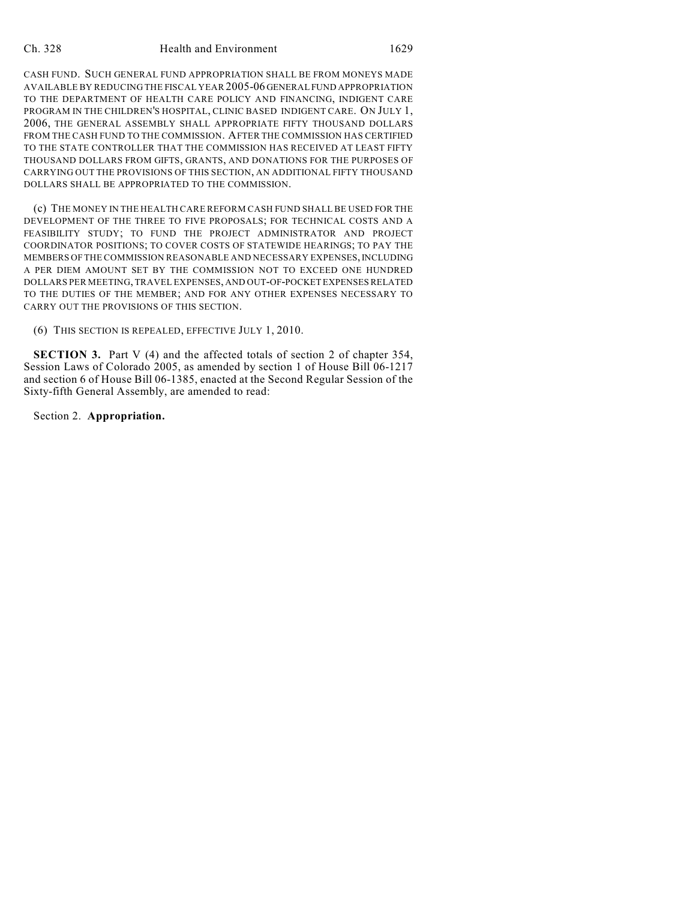#### Ch. 328 Health and Environment 1629

CASH FUND. SUCH GENERAL FUND APPROPRIATION SHALL BE FROM MONEYS MADE AVAILABLE BY REDUCING THE FISCAL YEAR 2005-06 GENERAL FUND APPROPRIATION TO THE DEPARTMENT OF HEALTH CARE POLICY AND FINANCING, INDIGENT CARE PROGRAM IN THE CHILDREN'S HOSPITAL, CLINIC BASED INDIGENT CARE. ON JULY 1, 2006, THE GENERAL ASSEMBLY SHALL APPROPRIATE FIFTY THOUSAND DOLLARS FROM THE CASH FUND TO THE COMMISSION. AFTER THE COMMISSION HAS CERTIFIED TO THE STATE CONTROLLER THAT THE COMMISSION HAS RECEIVED AT LEAST FIFTY THOUSAND DOLLARS FROM GIFTS, GRANTS, AND DONATIONS FOR THE PURPOSES OF CARRYING OUT THE PROVISIONS OF THIS SECTION, AN ADDITIONAL FIFTY THOUSAND DOLLARS SHALL BE APPROPRIATED TO THE COMMISSION.

(c) THE MONEY IN THE HEALTH CARE REFORM CASH FUND SHALL BE USED FOR THE DEVELOPMENT OF THE THREE TO FIVE PROPOSALS; FOR TECHNICAL COSTS AND A FEASIBILITY STUDY; TO FUND THE PROJECT ADMINISTRATOR AND PROJECT COORDINATOR POSITIONS; TO COVER COSTS OF STATEWIDE HEARINGS; TO PAY THE MEMBERS OF THE COMMISSION REASONABLE AND NECESSARY EXPENSES, INCLUDING A PER DIEM AMOUNT SET BY THE COMMISSION NOT TO EXCEED ONE HUNDRED DOLLARS PER MEETING, TRAVEL EXPENSES, AND OUT-OF-POCKET EXPENSES RELATED TO THE DUTIES OF THE MEMBER; AND FOR ANY OTHER EXPENSES NECESSARY TO CARRY OUT THE PROVISIONS OF THIS SECTION.

(6) THIS SECTION IS REPEALED, EFFECTIVE JULY 1, 2010.

**SECTION 3.** Part V (4) and the affected totals of section 2 of chapter 354, Session Laws of Colorado 2005, as amended by section 1 of House Bill 06-1217 and section 6 of House Bill 06-1385, enacted at the Second Regular Session of the Sixty-fifth General Assembly, are amended to read:

Section 2. **Appropriation.**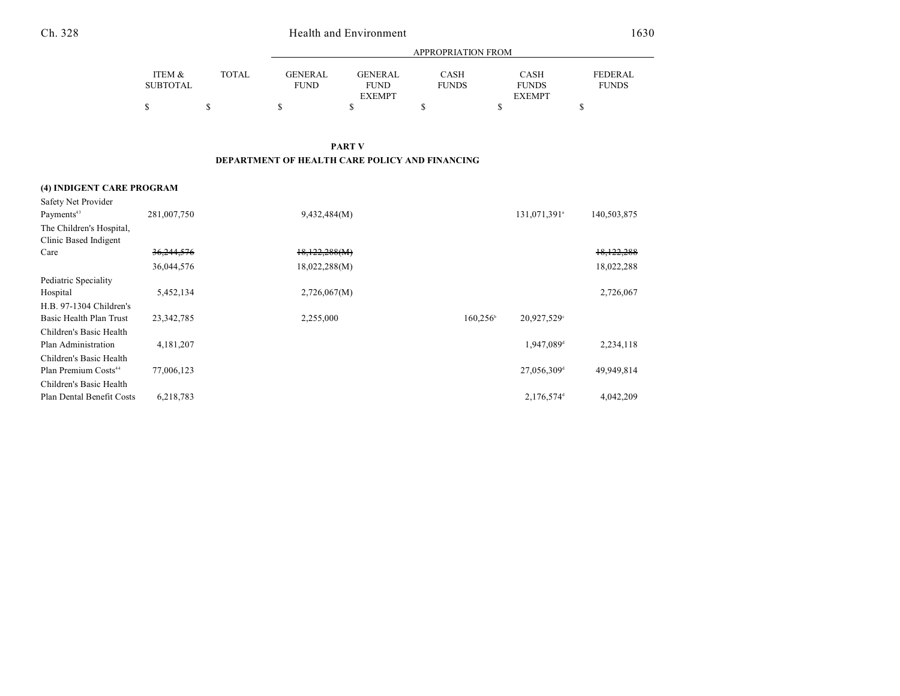| × | I |
|---|---|
|---|---|

# Health and Environment 1630

|                 |              | <b>APPROPRIATION FROM</b> |                |              |               |                |
|-----------------|--------------|---------------------------|----------------|--------------|---------------|----------------|
| ITEM &          | <b>TOTAL</b> | <b>GENERAL</b>            | <b>GENERAL</b> | <b>CASH</b>  | <b>CASH</b>   | <b>FEDERAL</b> |
| <b>SUBTOTAL</b> |              | <b>FUND</b>               | <b>FUND</b>    | <b>FUNDS</b> | <b>FUNDS</b>  | <b>FUNDS</b>   |
|                 |              |                           | <b>EXEMPT</b>  |              | <b>EXEMPT</b> |                |
| \$              |              |                           |                |              | S             |                |

**PART V DEPARTMENT OF HEALTH CARE POLICY AND FINANCING**

## **(4) INDIGENT CARE PROGRAM** Safety Net Provider

| Payments <sup>43</sup>           | 281,007,750 | 9,432,484(M)  |                   | 131,071,391 <sup>a</sup>  | 140,503,875 |
|----------------------------------|-------------|---------------|-------------------|---------------------------|-------------|
| The Children's Hospital,         |             |               |                   |                           |             |
| Clinic Based Indigent            |             |               |                   |                           |             |
| Care                             | 36,244,576  | 18,122,288(M) |                   |                           | 18,122,288  |
|                                  | 36,044,576  | 18,022,288(M) |                   |                           | 18,022,288  |
| Pediatric Speciality             |             |               |                   |                           |             |
| Hospital                         | 5,452,134   | 2,726,067(M)  |                   |                           | 2,726,067   |
| H.B. 97-1304 Children's          |             |               |                   |                           |             |
| Basic Health Plan Trust          | 23,342,785  | 2,255,000     | $160,256^{\circ}$ | 20,927,529°               |             |
| Children's Basic Health          |             |               |                   |                           |             |
| Plan Administration              | 4,181,207   |               |                   | 1,947,089 <sup>d</sup>    | 2,234,118   |
| Children's Basic Health          |             |               |                   |                           |             |
| Plan Premium Costs <sup>44</sup> | 77,006,123  |               |                   | $27,056,309$ <sup>d</sup> | 49,949,814  |
| Children's Basic Health          |             |               |                   |                           |             |
| Plan Dental Benefit Costs        | 6,218,783   |               |                   | 2,176,574 <sup>d</sup>    | 4,042,209   |
|                                  |             |               |                   |                           |             |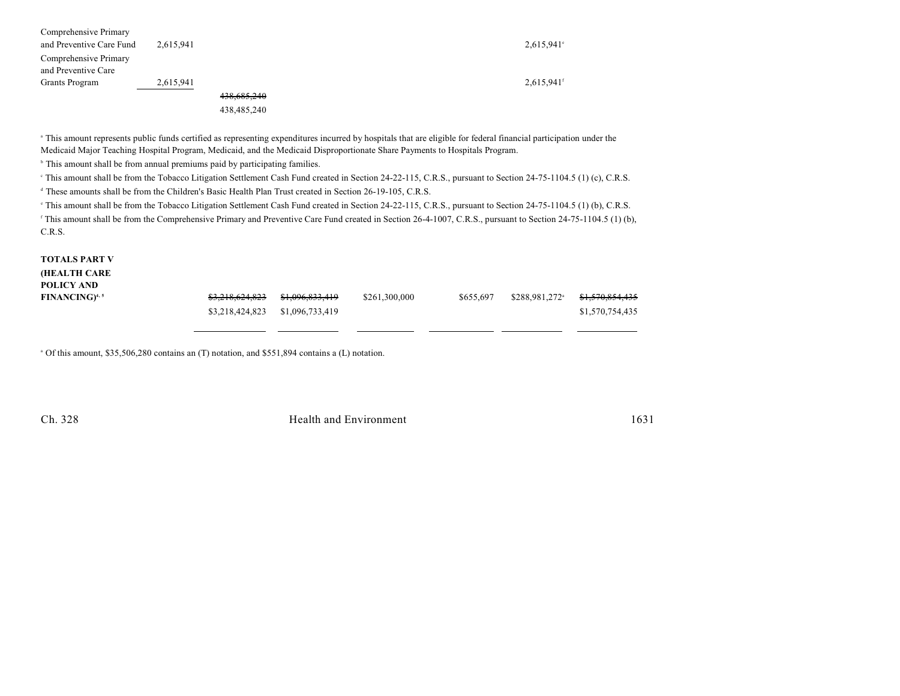| Comprehensive Primary    |           |             |                          |
|--------------------------|-----------|-------------|--------------------------|
| and Preventive Care Fund | 2,615,941 |             | $2,615,941$ °            |
| Comprehensive Primary    |           |             |                          |
| and Preventive Care      |           |             |                          |
| Grants Program           | 2,615,941 |             | $2,615,941$ <sup>f</sup> |
|                          |           | 438,685,240 |                          |
|                          |           | 438,485,240 |                          |
|                          |           |             |                          |

<sup>a</sup> This amount represents public funds certified as representing expenditures incurred by hospitals that are eligible for federal financial participation under the Medicaid Major Teaching Hospital Program, Medicaid, and the Medicaid Disproportionate Share Payments to Hospitals Program.

<sup>b</sup> This amount shall be from annual premiums paid by participating families.

<sup>e</sup> This amount shall be from the Tobacco Litigation Settlement Cash Fund created in Section 24-22-115, C.R.S., pursuant to Section 24-75-1104.5 (1) (c), C.R.S. <sup>4</sup> These amounts shall be from the Children's Basic Health Plan Trust created in Section 26-19-105, C.R.S.

<sup>e</sup> This amount shall be from the Tobacco Litigation Settlement Cash Fund created in Section 24-22-115, C.R.S., pursuant to Section 24-75-1104.5 (1) (b), C.R.S.

<sup>f</sup> This amount shall be from the Comprehensive Primary and Preventive Care Fund created in Section 26-4-1007, C.R.S., pursuant to Section 24-75-1104.5 (1) (b), C.R.S.

**TOTALS PART V**

**(HEALTH CARE POLICY AND**

| - - - - - - - - - - -<br><b>FINANCING)</b> 4,5 |                                 | \$261.300.000 | \$655,697 | \$288,981,272 <sup>a</sup> <del>\$1,570,854,435</del> |                 |
|------------------------------------------------|---------------------------------|---------------|-----------|-------------------------------------------------------|-----------------|
|                                                | \$3,218,424,823 \$1,096,733,419 |               |           |                                                       | \$1,570,754,435 |
|                                                |                                 |               |           |                                                       |                 |

<sup>a</sup> Of this amount, \$35,506,280 contains an (T) notation, and \$551,894 contains a (L) notation.

Ch. 328 Health and Environment 1631